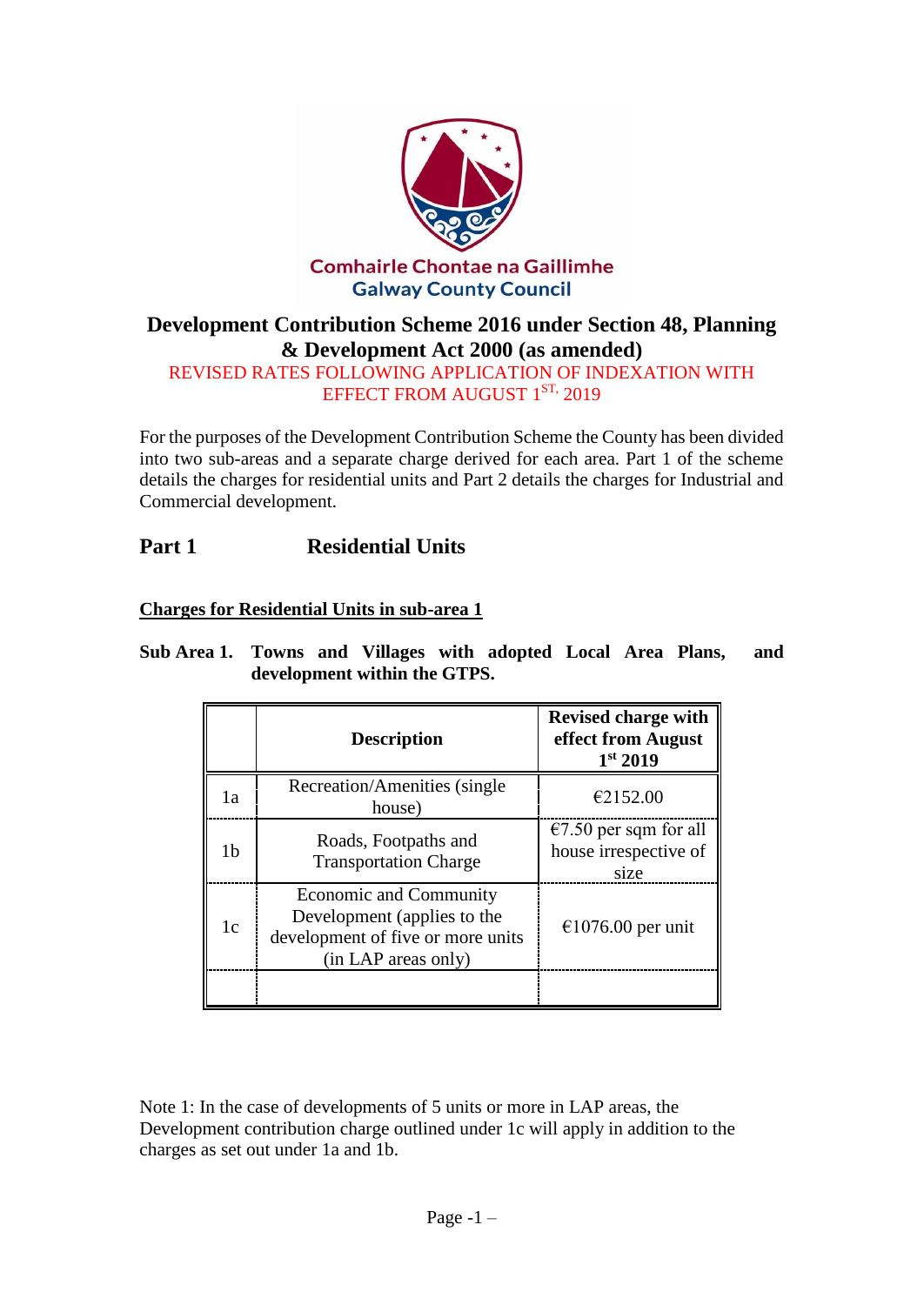

# **Development Contribution Scheme 2016 under Section 48, Planning & Development Act 2000 (as amended)**

REVISED RATES FOLLOWING APPLICATION OF INDEXATION WITH EFFECT FROM AUGUST 1<sup>ST,</sup> 2019

For the purposes of the Development Contribution Scheme the County has been divided into two sub-areas and a separate charge derived for each area. Part 1 of the scheme details the charges for residential units and Part 2 details the charges for Industrial and Commercial development.

# **Part 1 Residential Units**

**Charges for Residential Units in sub-area 1**

|                | <b>Description</b>                                                                                                | <b>Revised charge with</b><br>effect from August<br>1 <sup>st</sup> 2019 |
|----------------|-------------------------------------------------------------------------------------------------------------------|--------------------------------------------------------------------------|
| 1a             | Recreation/Amenities (single)<br>house)                                                                           | €2152.00                                                                 |
| 1 <sub>b</sub> | Roads, Footpaths and<br><b>Transportation Charge</b>                                                              | $\epsilon$ 7.50 per sqm for all<br>house irrespective of<br>size         |
| 1 <sub>c</sub> | Economic and Community<br>Development (applies to the<br>development of five or more units<br>(in LAP areas only) | $\epsilon$ 1076.00 per unit                                              |
|                |                                                                                                                   |                                                                          |

**Sub Area 1. Towns and Villages with adopted Local Area Plans, and development within the GTPS.**

Note 1: In the case of developments of 5 units or more in LAP areas, the Development contribution charge outlined under 1c will apply in addition to the charges as set out under 1a and 1b.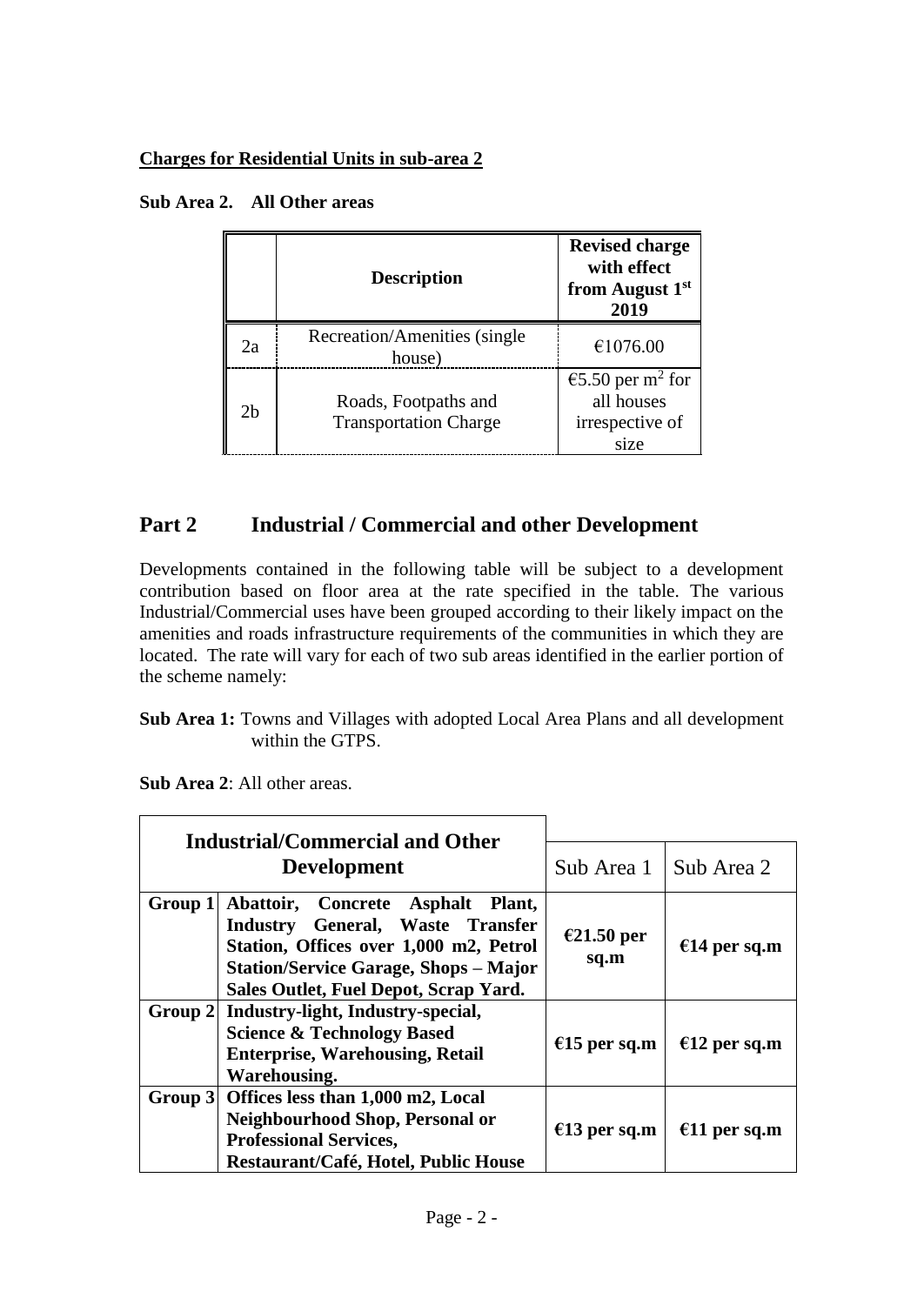### **Charges for Residential Units in sub-area 2**

|                | <b>Description</b>                                   | <b>Revised charge</b><br>with effect<br>from August 1st<br>2019       |
|----------------|------------------------------------------------------|-----------------------------------------------------------------------|
| 2a             | Recreation/Amenities (single)<br>house)              | €1076.00                                                              |
| 2 <sub>b</sub> | Roads, Footpaths and<br><b>Transportation Charge</b> | €5.50 per m <sup>2</sup> for<br>all houses<br>irrespective of<br>size |

# **Part 2 Industrial / Commercial and other Development**

Developments contained in the following table will be subject to a development contribution based on floor area at the rate specified in the table. The various Industrial/Commercial uses have been grouped according to their likely impact on the amenities and roads infrastructure requirements of the communities in which they are located. The rate will vary for each of two sub areas identified in the earlier portion of the scheme namely:

**Sub Area 1:** Towns and Villages with adopted Local Area Plans and all development within the GTPS.

**Sub Area 2**: All other areas.

| <b>Industrial/Commercial and Other</b><br><b>Development</b> |                                                                                                                                                                                                          |                         |              |
|--------------------------------------------------------------|----------------------------------------------------------------------------------------------------------------------------------------------------------------------------------------------------------|-------------------------|--------------|
|                                                              |                                                                                                                                                                                                          | Sub Area 1   Sub Area 2 |              |
| Group 1                                                      | Abattoir, Concrete Asphalt Plant,<br>Industry General, Waste Transfer<br>Station, Offices over 1,000 m2, Petrol<br><b>Station/Service Garage, Shops - Major</b><br>Sales Outlet, Fuel Depot, Scrap Yard. | €21.50 per<br>sq.m      | €14 per sq.m |
|                                                              | Group 2 Industry-light, Industry-special,<br><b>Science &amp; Technology Based</b><br><b>Enterprise, Warehousing, Retail</b><br><b>Warehousing.</b>                                                      | €15 per sq.m            | €12 per sq.m |
|                                                              | Group 3 Offices less than 1,000 m2, Local<br>Neighbourhood Shop, Personal or<br><b>Professional Services,</b><br>Restaurant/Café, Hotel, Public House                                                    | €13 per sq.m            | €11 per sq.m |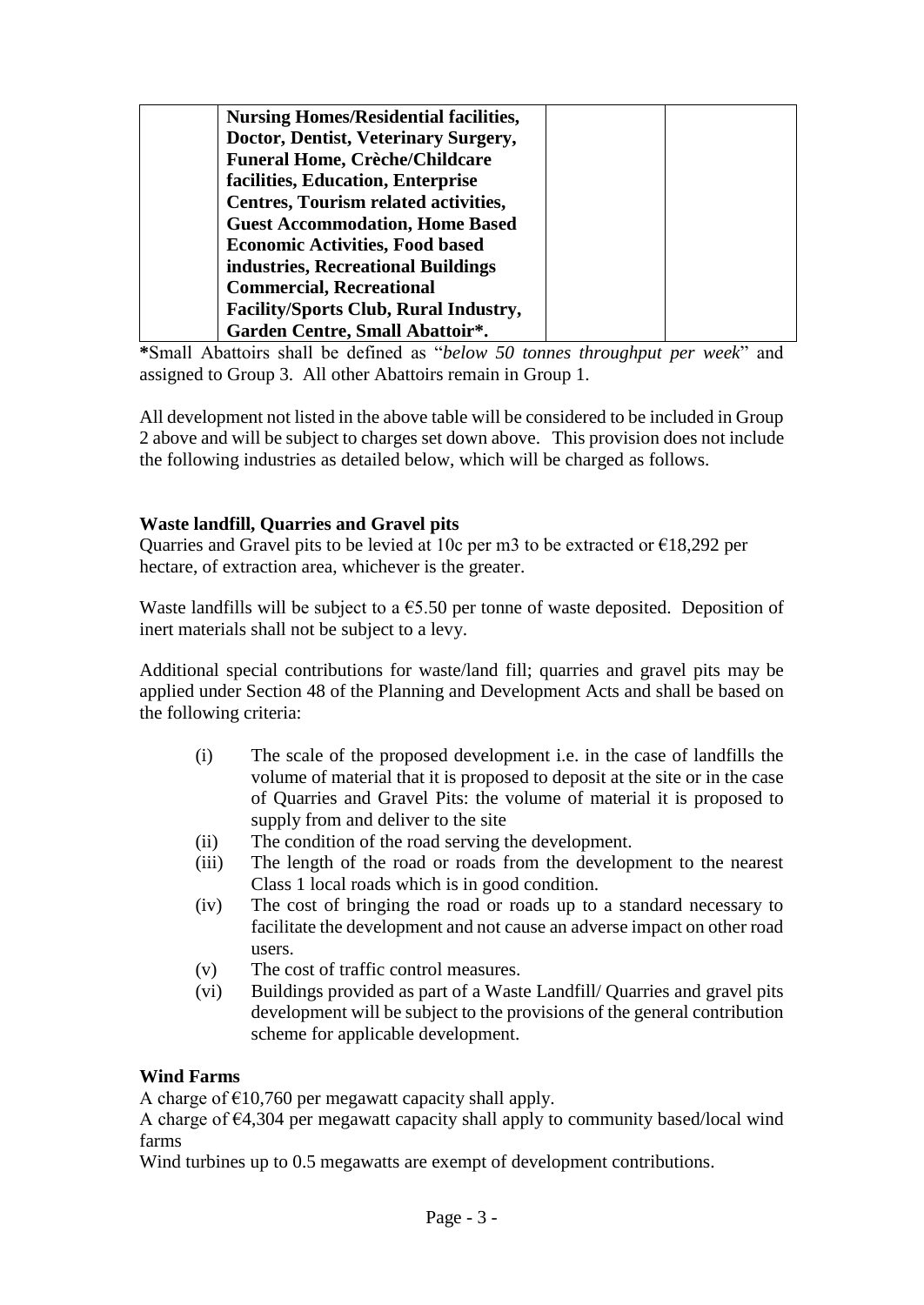| <b>Nursing Homes/Residential facilities,</b> |  |
|----------------------------------------------|--|
| Doctor, Dentist, Veterinary Surgery,         |  |
| <b>Funeral Home, Crèche/Childcare</b>        |  |
| facilities, Education, Enterprise            |  |
| Centres, Tourism related activities,         |  |
| <b>Guest Accommodation, Home Based</b>       |  |
| <b>Economic Activities, Food based</b>       |  |
| industries, Recreational Buildings           |  |
| <b>Commercial, Recreational</b>              |  |
| <b>Facility/Sports Club, Rural Industry,</b> |  |
| Garden Centre, Small Abattoir*.              |  |

**\***Small Abattoirs shall be defined as "*below 50 tonnes throughput per week*" and assigned to Group 3. All other Abattoirs remain in Group 1.

All development not listed in the above table will be considered to be included in Group 2 above and will be subject to charges set down above. This provision does not include the following industries as detailed below, which will be charged as follows.

### **Waste landfill, Quarries and Gravel pits**

Quarries and Gravel pits to be levied at 10c per m3 to be extracted or  $\epsilon$ 18,292 per hectare, of extraction area, whichever is the greater.

Waste landfills will be subject to a  $\epsilon$ 5.50 per tonne of waste deposited. Deposition of inert materials shall not be subject to a levy.

Additional special contributions for waste/land fill; quarries and gravel pits may be applied under Section 48 of the Planning and Development Acts and shall be based on the following criteria:

- (i) The scale of the proposed development i.e. in the case of landfills the volume of material that it is proposed to deposit at the site or in the case of Quarries and Gravel Pits: the volume of material it is proposed to supply from and deliver to the site
- (ii) The condition of the road serving the development.
- (iii) The length of the road or roads from the development to the nearest Class 1 local roads which is in good condition.
- (iv) The cost of bringing the road or roads up to a standard necessary to facilitate the development and not cause an adverse impact on other road users.
- (v) The cost of traffic control measures.
- (vi) Buildings provided as part of a Waste Landfill/ Quarries and gravel pits development will be subject to the provisions of the general contribution scheme for applicable development.

# **Wind Farms**

A charge of  $\epsilon$ 10,760 per megawatt capacity shall apply.

A charge of €4,304 per megawatt capacity shall apply to community based/local wind farms

Wind turbines up to 0.5 megawatts are exempt of development contributions.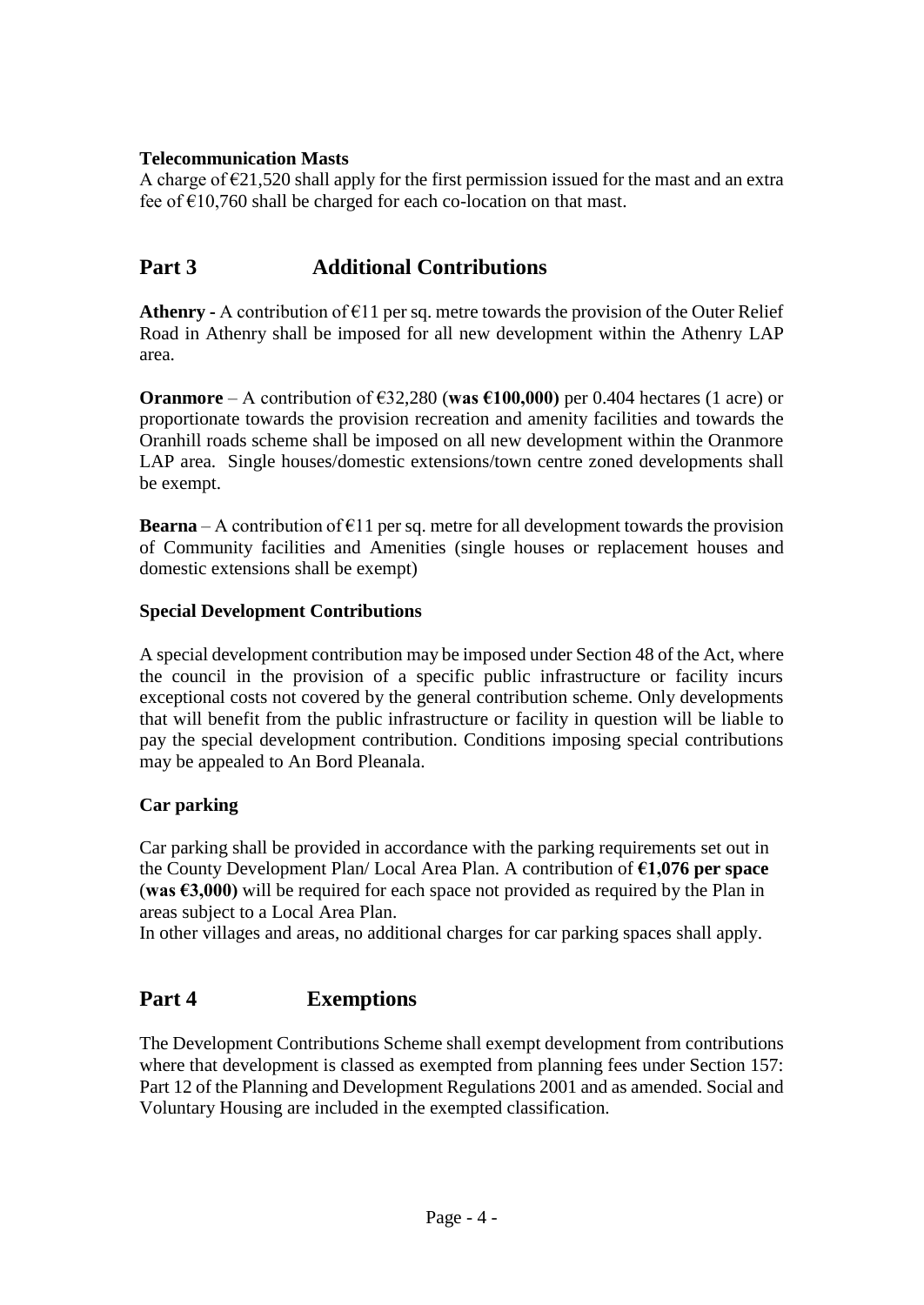### **Telecommunication Masts**

A charge of  $\epsilon$ 21,520 shall apply for the first permission issued for the mast and an extra fee of  $\epsilon$ 10,760 shall be charged for each co-location on that mast.

# **Part 3 Additional Contributions**

**Athenry -** A contribution of  $E11$  per sq. metre towards the provision of the Outer Relief Road in Athenry shall be imposed for all new development within the Athenry LAP area.

**Oranmore** – A contribution of  $\epsilon$ 32,280 (**was**  $\epsilon$ 100,000) per 0.404 hectares (1 acre) or proportionate towards the provision recreation and amenity facilities and towards the Oranhill roads scheme shall be imposed on all new development within the Oranmore LAP area. Single houses/domestic extensions/town centre zoned developments shall be exempt.

**Bearna** – A contribution of  $E11$  per sq. metre for all development towards the provision of Community facilities and Amenities (single houses or replacement houses and domestic extensions shall be exempt)

#### **Special Development Contributions**

A special development contribution may be imposed under Section 48 of the Act, where the council in the provision of a specific public infrastructure or facility incurs exceptional costs not covered by the general contribution scheme. Only developments that will benefit from the public infrastructure or facility in question will be liable to pay the special development contribution. Conditions imposing special contributions may be appealed to An Bord Pleanala.

#### **Car parking**

Car parking shall be provided in accordance with the parking requirements set out in the County Development Plan/ Local Area Plan. A contribution of **€1,076 per space**  (**was €3,000)** will be required for each space not provided as required by the Plan in areas subject to a Local Area Plan.

In other villages and areas, no additional charges for car parking spaces shall apply.

# **Part 4 Exemptions**

The Development Contributions Scheme shall exempt development from contributions where that development is classed as exempted from planning fees under Section 157: Part 12 of the Planning and Development Regulations 2001 and as amended. Social and Voluntary Housing are included in the exempted classification.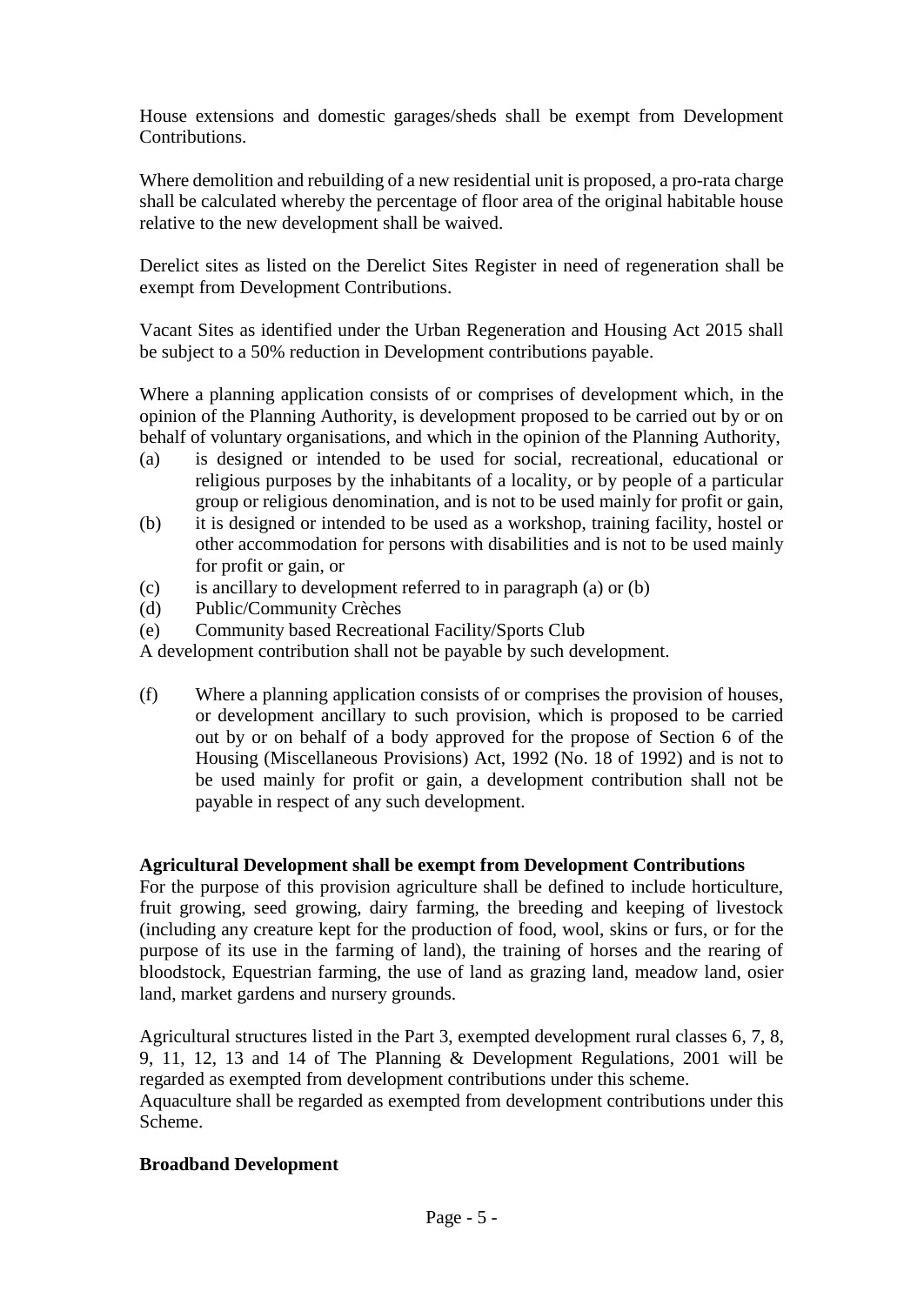House extensions and domestic garages/sheds shall be exempt from Development Contributions.

Where demolition and rebuilding of a new residential unit is proposed, a pro-rata charge shall be calculated whereby the percentage of floor area of the original habitable house relative to the new development shall be waived.

Derelict sites as listed on the Derelict Sites Register in need of regeneration shall be exempt from Development Contributions.

Vacant Sites as identified under the Urban Regeneration and Housing Act 2015 shall be subject to a 50% reduction in Development contributions payable.

Where a planning application consists of or comprises of development which, in the opinion of the Planning Authority, is development proposed to be carried out by or on behalf of voluntary organisations, and which in the opinion of the Planning Authority,

- (a) is designed or intended to be used for social, recreational, educational or religious purposes by the inhabitants of a locality, or by people of a particular group or religious denomination, and is not to be used mainly for profit or gain,
- (b) it is designed or intended to be used as a workshop, training facility, hostel or other accommodation for persons with disabilities and is not to be used mainly for profit or gain, or
- (c) is ancillary to development referred to in paragraph (a) or (b)
- (d) Public/Community Crèches
- (e) Community based Recreational Facility/Sports Club

A development contribution shall not be payable by such development.

(f) Where a planning application consists of or comprises the provision of houses, or development ancillary to such provision, which is proposed to be carried out by or on behalf of a body approved for the propose of Section 6 of the Housing (Miscellaneous Provisions) Act, 1992 (No. 18 of 1992) and is not to be used mainly for profit or gain, a development contribution shall not be payable in respect of any such development.

#### **Agricultural Development shall be exempt from Development Contributions**

For the purpose of this provision agriculture shall be defined to include horticulture, fruit growing, seed growing, dairy farming, the breeding and keeping of livestock (including any creature kept for the production of food, wool, skins or furs, or for the purpose of its use in the farming of land), the training of horses and the rearing of bloodstock, Equestrian farming, the use of land as grazing land, meadow land, osier land, market gardens and nursery grounds.

Agricultural structures listed in the Part 3, exempted development rural classes 6, 7, 8, 9, 11, 12, 13 and 14 of The Planning & Development Regulations, 2001 will be regarded as exempted from development contributions under this scheme. Aquaculture shall be regarded as exempted from development contributions under this Scheme.

#### **Broadband Development**